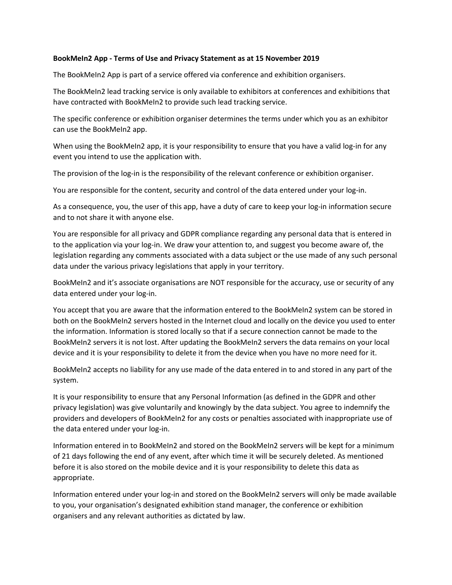## **BookMeIn2 App - Terms of Use and Privacy Statement as at 15 November 2019**

The BookMeIn2 App is part of a service offered via conference and exhibition organisers.

The BookMeIn2 lead tracking service is only available to exhibitors at conferences and exhibitions that have contracted with BookMeIn2 to provide such lead tracking service.

The specific conference or exhibition organiser determines the terms under which you as an exhibitor can use the BookMeIn2 app.

When using the BookMeIn2 app, it is your responsibility to ensure that you have a valid log-in for any event you intend to use the application with.

The provision of the log-in is the responsibility of the relevant conference or exhibition organiser.

You are responsible for the content, security and control of the data entered under your log-in.

As a consequence, you, the user of this app, have a duty of care to keep your log-in information secure and to not share it with anyone else.

You are responsible for all privacy and GDPR compliance regarding any personal data that is entered in to the application via your log-in. We draw your attention to, and suggest you become aware of, the legislation regarding any comments associated with a data subject or the use made of any such personal data under the various privacy legislations that apply in your territory.

BookMeIn2 and it's associate organisations are NOT responsible for the accuracy, use or security of any data entered under your log-in.

You accept that you are aware that the information entered to the BookMeIn2 system can be stored in both on the BookMeIn2 servers hosted in the Internet cloud and locally on the device you used to enter the information. Information is stored locally so that if a secure connection cannot be made to the BookMeIn2 servers it is not lost. After updating the BookMeIn2 servers the data remains on your local device and it is your responsibility to delete it from the device when you have no more need for it.

BookMeIn2 accepts no liability for any use made of the data entered in to and stored in any part of the system.

It is your responsibility to ensure that any Personal Information (as defined in the GDPR and other privacy legislation) was give voluntarily and knowingly by the data subject. You agree to indemnify the providers and developers of BookMeIn2 for any costs or penalties associated with inappropriate use of the data entered under your log-in.

Information entered in to BookMeIn2 and stored on the BookMeIn2 servers will be kept for a minimum of 21 days following the end of any event, after which time it will be securely deleted. As mentioned before it is also stored on the mobile device and it is your responsibility to delete this data as appropriate.

Information entered under your log-in and stored on the BookMeIn2 servers will only be made available to you, your organisation's designated exhibition stand manager, the conference or exhibition organisers and any relevant authorities as dictated by law.